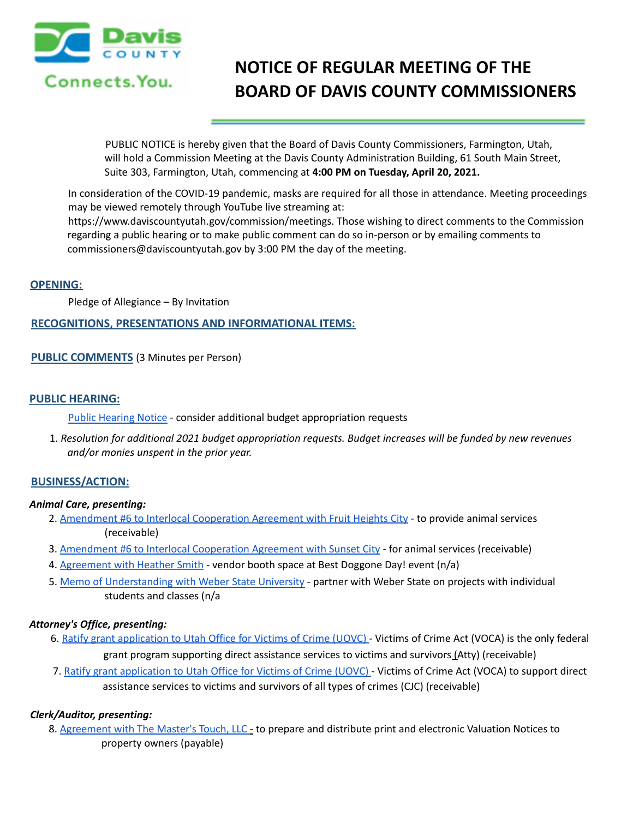

# **NOTICE OF REGULAR MEETING OF THE BOARD OF DAVIS COUNTY COMMISSIONERS**

PUBLIC NOTICE is hereby given that the Board of Davis County Commissioners, Farmington, Utah, will hold a Commission Meeting at the Davis County Administration Building, 61 South Main Street, Suite 303, Farmington, Utah, commencing at **4:00 PM on Tuesday, April 20, 2021.**

In consideration of the COVID-19 pandemic, masks are required for all those in attendance. Meeting proceedings may be viewed remotely through YouTube live streaming at:

https://www.daviscountyutah.gov/commission/meetings. Those wishing to direct comments to the Commission regarding a public hearing or to make public comment can do so in-person or by emailing comments to commissioners@daviscountyutah.gov by 3:00 PM the day of the meeting.

## **OPENING:**

Pledge of Allegiance – By Invitation

## **RECOGNITIONS, PRESENTATIONS AND INFORMATIONAL ITEMS:**

**PUBLIC COMMENTS** (3 Minutes per Person)

## **PUBLIC HEARING:**

Public Hearing Notice - consider additional budget appropriation requests

1. *Resolution for additional 2021 budget appropriation requests. Budget increases will be funded by new revenues and/or monies unspent in the prior year.*

## **BUSINESS/ACTION:**

#### *Animal Care, presenting:*

- 2. Amendment #6 to Interlocal Cooperation Agreement with Fruit Heights City to provide animal services (receivable)
- 3. Amendment #6 to Interlocal Cooperation Agreement with Sunset City for animal services (receivable)
- 4. Agreement with Heather Smith vendor booth space at Best Doggone Day! event (n/a)
- 5. Memo of Understanding with Weber State University partner with Weber State on projects with individual students and classes (n/a

## *Attorney's Office, presenting:*

- 6. Ratify grant application to Utah Office for Victims of Crime (UOVC) Victims of Crime Act (VOCA) is the only federal grant program supporting direct assistance services to victims and survivors (Atty) (receivable)
- 7. Ratify grant application to Utah Office for Victims of Crime (UOVC) Victims of Crime Act (VOCA) to support direct assistance services to victims and survivors of all types of crimes (CJC) (receivable)

## *Clerk/Auditor, presenting:*

8. Agreement with The Master's Touch, LLC - to prepare and distribute print and electronic Valuation Notices to property owners (payable)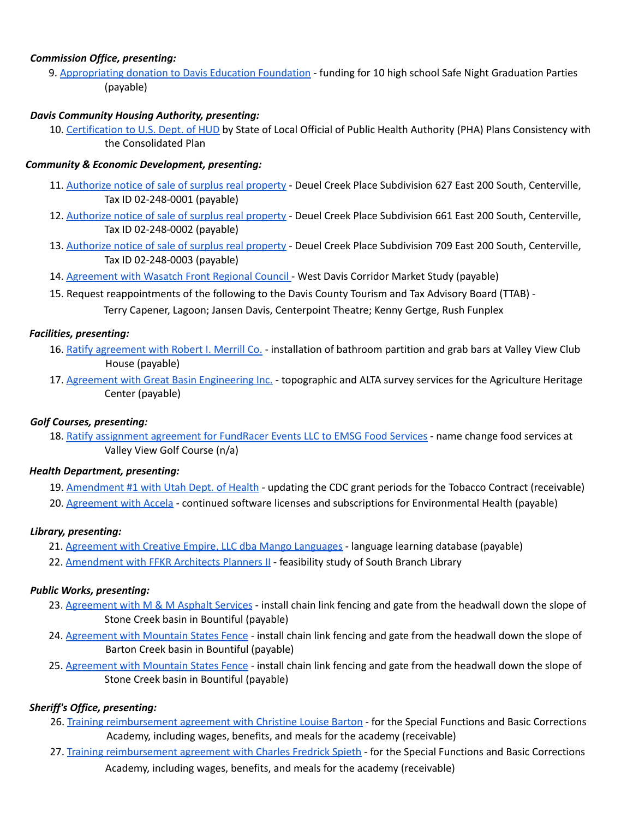## *Commission Office, presenting:*

9. Appropriating donation to Davis Education Foundation - funding for 10 high school Safe Night Graduation Parties (payable)

## *Davis Community Housing Authority, presenting:*

10. Certification to U.S. Dept. of HUD by State of Local Official of Public Health Authority (PHA) Plans Consistency with the Consolidated Plan

## *Community & Economic Development, presenting:*

- 11. Authorize notice of sale of surplus real property Deuel Creek Place Subdivision 627 East 200 South, Centerville, Tax ID 02-248-0001 (payable)
- 12. Authorize notice of sale of surplus real property Deuel Creek Place Subdivision 661 East 200 South, Centerville, Tax ID 02-248-0002 (payable)
- 13. Authorize notice of sale of surplus real property Deuel Creek Place Subdivision 709 East 200 South, Centerville, Tax ID 02-248-0003 (payable)
- 14. Agreement with Wasatch Front Regional Council West Davis Corridor Market Study (payable)
- 15. Request reappointments of the following to the Davis County Tourism and Tax Advisory Board (TTAB) Terry Capener, Lagoon; Jansen Davis, Centerpoint Theatre; Kenny Gertge, Rush Funplex

## *Facilities, presenting:*

- 16. Ratify agreement with Robert I. Merrill Co. installation of bathroom partition and grab bars at Valley View Club House (payable)
- 17. Agreement with Great Basin Engineering Inc. topographic and ALTA survey services for the Agriculture Heritage Center (payable)

## *Golf Courses, presenting:*

18. Ratify assignment agreement for FundRacer Events LLC to EMSG Food Services - name change food services at Valley View Golf Course (n/a)

## *Health Department, presenting:*

- 19. Amendment #1 with Utah Dept. of Health updating the CDC grant periods for the Tobacco Contract (receivable)
- 20. Agreement with Accela continued software licenses and subscriptions for Environmental Health (payable)

## *Library, presenting:*

- 21. Agreement with Creative Empire, LLC dba Mango Languages language learning database (payable)
- 22. Amendment with FFKR Architects Planners II feasibility study of South Branch Library

# *Public Works, presenting:*

- 23. Agreement with M & M Asphalt Services install chain link fencing and gate from the headwall down the slope of Stone Creek basin in Bountiful (payable)
- 24. Agreement with Mountain States Fence install chain link fencing and gate from the headwall down the slope of Barton Creek basin in Bountiful (payable)
- 25. Agreement with Mountain States Fence install chain link fencing and gate from the headwall down the slope of Stone Creek basin in Bountiful (payable)

# *Sheriff's Office, presenting:*

- 26. Training reimbursement agreement with Christine Louise Barton for the Special Functions and Basic Corrections Academy, including wages, benefits, and meals for the academy (receivable)
- 27. Training reimbursement agreement with Charles Fredrick Spieth for the Special Functions and Basic Corrections Academy, including wages, benefits, and meals for the academy (receivable)